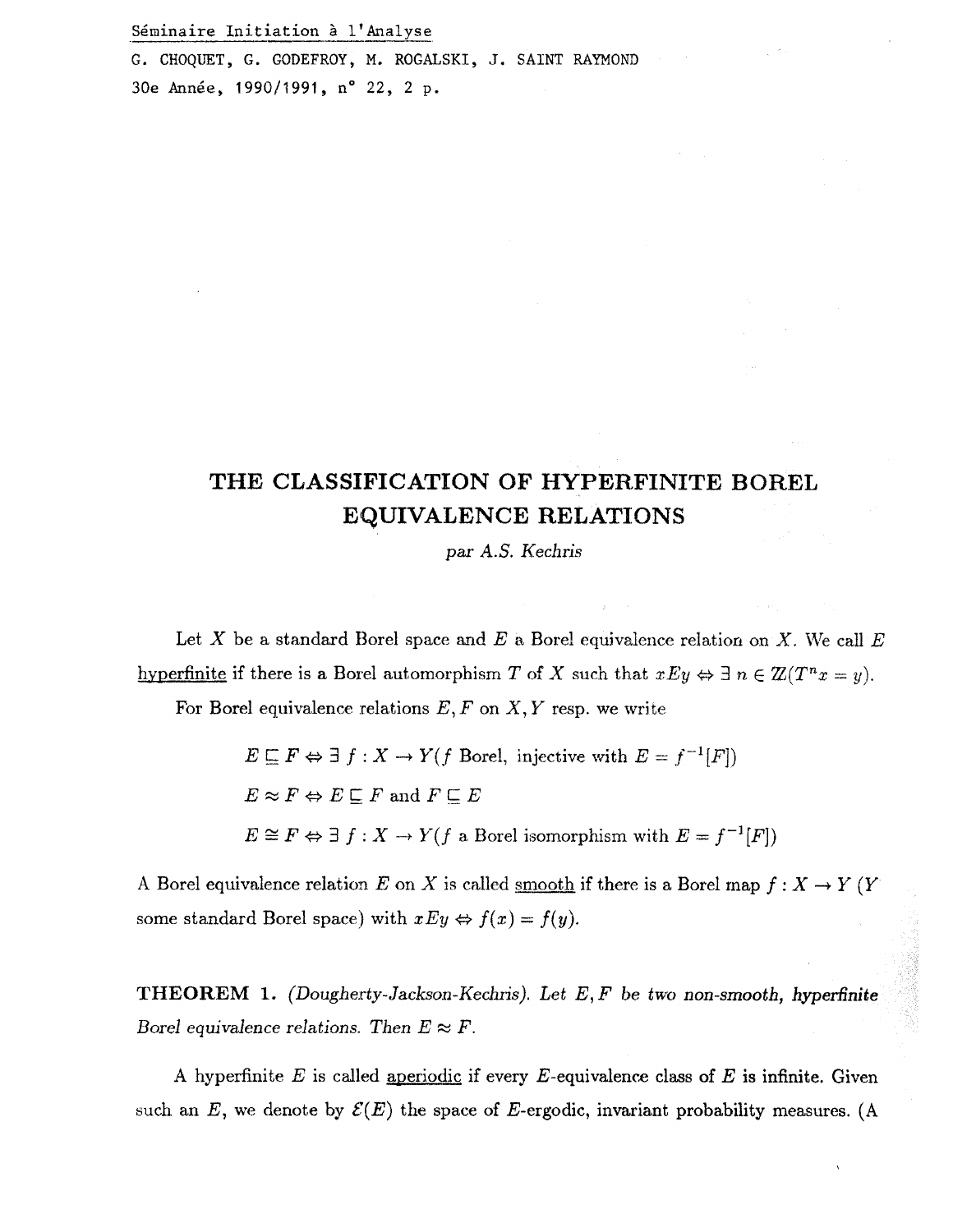Seminaire Initiation a l'Analyse

G. CROQUET, G. GODEFROY, M. ROGALSKI, J. SAINT RAYMOND 30e Année, 1990/1991, n° 22, 2 p.

## THE CLASSIFICATION OF HYPERFINITE BOREL **EqUIVALENCE RELATIONS**

par *A.S. Kechris* 

Let X be a standard Borel space and E a Borel equivalence relation on X. We call  $E$ hyperfinite if there is a Borel automorphism *T* of *X* such that  $xEy \Leftrightarrow \exists n \in \mathbb{Z}(T^n x = y)$ .

For Borel equivalence relations  $E, F$  on  $X, Y$  resp. we write

 $E \subseteq F \Leftrightarrow \exists f : X \to Y(f \text{ Borel, injective with } E = f^{-1}[F])$  $E \approx F \Leftrightarrow E \sqsubseteq F$  and  $F \sqsubseteq E$  $E \cong F \Leftrightarrow \exists f: X \to Y(f \text{ a Borel isomorphism with } E = f^{-1}[F])$ 

A Borel equivalence relation E on X is called <u>smooth</u> if there is a Borel map  $f: X \to Y$  (Y some standard Borel space) with  $xEy \Leftrightarrow f(x) = f(y)$ .

**THEOREM 1.** *(Dougherty-Jackson-Kechris). Let E, F be two non-smooth, hyperfinite Borel equivalence relations. Then*  $E \approx F$ *.* 

A hyperfinite *E* is called aperiodic if every E-equivalence class of *E* is infinite. Given such an E, we denote by  $\mathcal{E}(E)$  the space of E-ergodic, invariant probability measures. (A